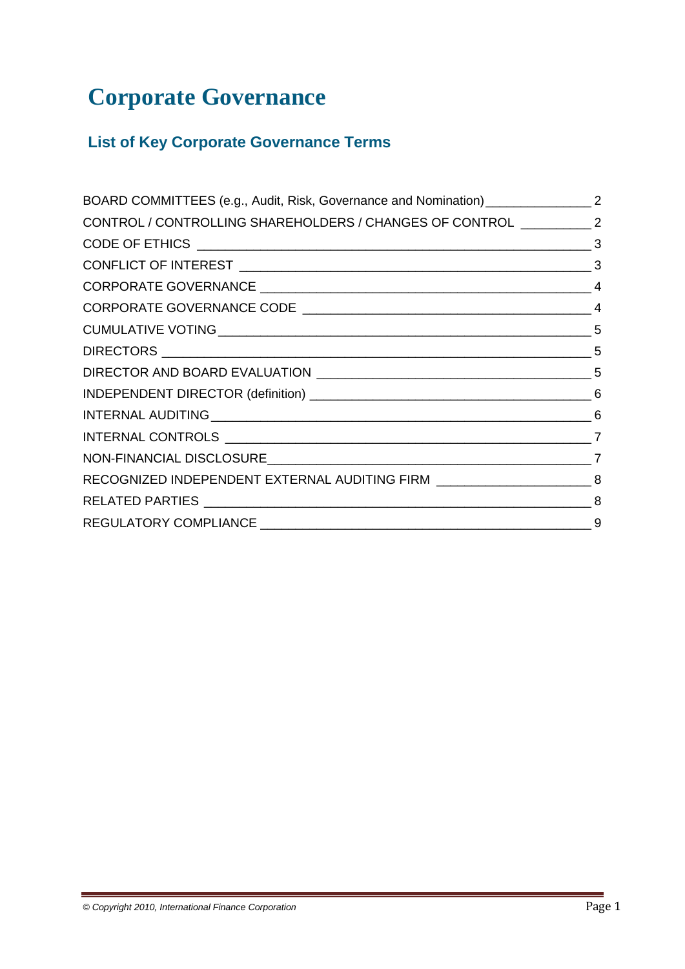# **Corporate Governance**

# **List of Key Corporate Governance Terms**

| CONTROL / CONTROLLING SHAREHOLDERS / CHANGES OF CONTROL ____________ 2            |  |
|-----------------------------------------------------------------------------------|--|
|                                                                                   |  |
|                                                                                   |  |
|                                                                                   |  |
|                                                                                   |  |
|                                                                                   |  |
|                                                                                   |  |
|                                                                                   |  |
|                                                                                   |  |
|                                                                                   |  |
|                                                                                   |  |
|                                                                                   |  |
| RECOGNIZED INDEPENDENT EXTERNAL AUDITING FIRM __________________________________8 |  |
|                                                                                   |  |
|                                                                                   |  |
|                                                                                   |  |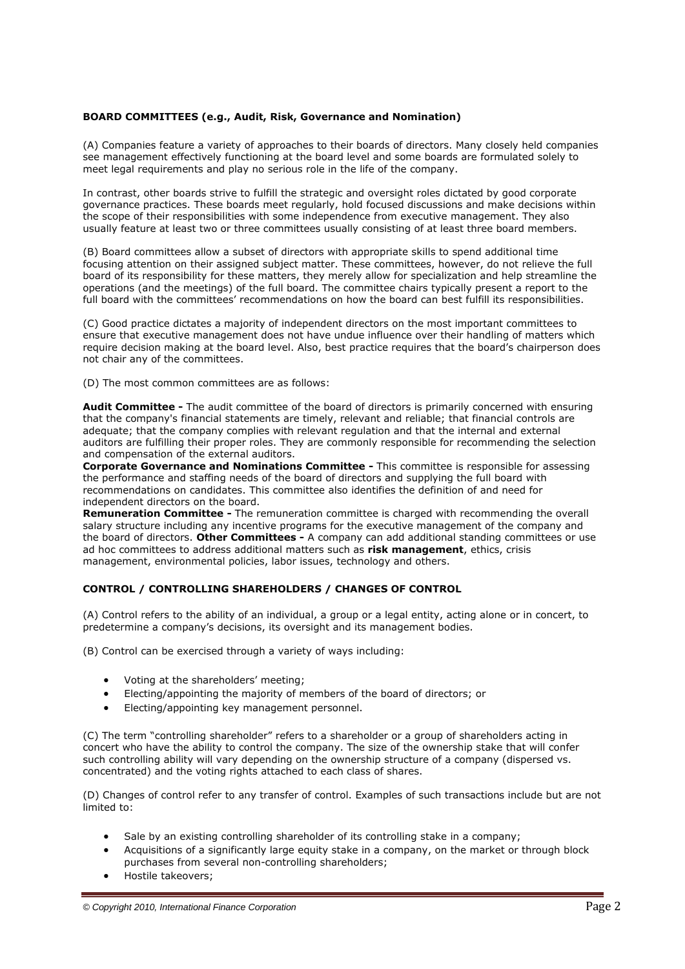# <span id="page-1-0"></span>**BOARD COMMITTEES (e.g., Audit, Risk, Governance and Nomination)**

(A) Companies feature a variety of approaches to their boards of directors. Many closely held companies see management effectively functioning at the board level and some boards are formulated solely to meet legal requirements and play no serious role in the life of the company.

In contrast, other boards strive to fulfill the strategic and oversight roles dictated by good corporate governance practices. These boards meet regularly, hold focused discussions and make decisions within the scope of their responsibilities with some independence from executive management. They also usually feature at least two or three committees usually consisting of at least three board members.

(B) Board committees allow a subset of directors with appropriate skills to spend additional time focusing attention on their assigned subject matter. These committees, however, do not relieve the full board of its responsibility for these matters, they merely allow for specialization and help streamline the operations (and the meetings) of the full board. The committee chairs typically present a report to the full board with the committees' recommendations on how the board can best fulfill its responsibilities.

(C) Good practice dictates a majority of independent directors on the most important committees to ensure that executive management does not have undue influence over their handling of matters which require decision making at the board level. Also, best practice requires that the board's chairperson does not chair any of the committees.

(D) The most common committees are as follows:

**Audit Committee -** The audit committee of the board of directors is primarily concerned with ensuring that the company's financial statements are timely, relevant and reliable; that financial controls are adequate; that the company complies with relevant regulation and that the internal and external auditors are fulfilling their proper roles. They are commonly responsible for recommending the selection and compensation of the external auditors.

**Corporate Governance and Nominations Committee -** This committee is responsible for assessing the performance and staffing needs of the board of directors and supplying the full board with recommendations on candidates. This committee also identifies the definition of and need for independent directors on the board.

**Remuneration Committee -** The remuneration committee is charged with recommending the overall salary structure including any incentive programs for the executive management of the company and the board of directors. **Other Committees -** A company can add additional standing committees or use ad hoc committees to address additional matters such as **risk management**, ethics, crisis management, environmental policies, labor issues, technology and others.

# <span id="page-1-1"></span>**CONTROL / CONTROLLING SHAREHOLDERS / CHANGES OF CONTROL**

(A) Control refers to the ability of an individual, a group or a legal entity, acting alone or in concert, to predetermine a company's decisions, its oversight and its management bodies.

(B) Control can be exercised through a variety of ways including:

- Voting at the shareholders' meeting;
- Electing/appointing the majority of members of the board of directors; or
- Electing/appointing key management personnel.

(C) The term "controlling shareholder" refers to a shareholder or a group of shareholders acting in concert who have the ability to control the company. The size of the ownership stake that will confer such controlling ability will vary depending on the ownership structure of a company (dispersed vs. concentrated) and the voting rights attached to each class of shares.

(D) Changes of control refer to any transfer of control. Examples of such transactions include but are not limited to:

- Sale by an existing controlling shareholder of its controlling stake in a company;
- Acquisitions of a significantly large equity stake in a company, on the market or through block purchases from several non-controlling shareholders;
- Hostile takeovers;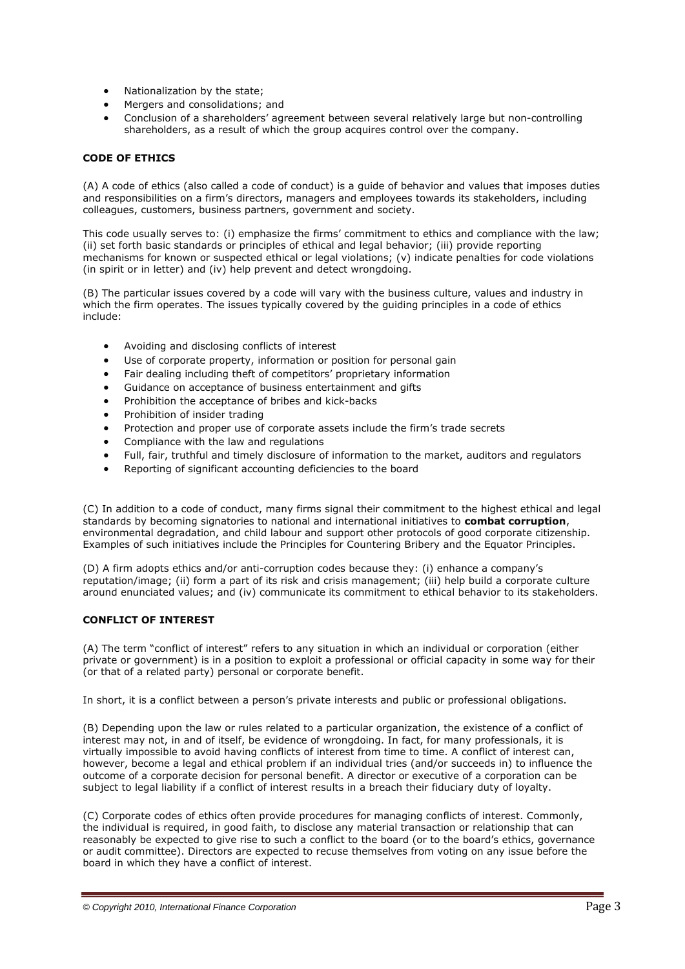- Nationalization by the state;
- Mergers and consolidations; and
- Conclusion of a shareholders' agreement between several relatively large but non-controlling shareholders, as a result of which the group acquires control over the company.

# <span id="page-2-0"></span>**CODE OF ETHICS**

(A) A code of ethics (also called a code of conduct) is a guide of behavior and values that imposes duties and responsibilities on a firm's directors, managers and employees towards its stakeholders, including colleagues, customers, business partners, government and society.

This code usually serves to: (i) emphasize the firms' commitment to ethics and compliance with the law; (ii) set forth basic standards or principles of ethical and legal behavior; (iii) provide reporting mechanisms for known or suspected ethical or legal violations; (v) indicate penalties for code violations (in spirit or in letter) and (iv) help prevent and detect wrongdoing.

(B) The particular issues covered by a code will vary with the business culture, values and industry in which the firm operates. The issues typically covered by the guiding principles in a code of ethics include:

- Avoiding and disclosing conflicts of interest
- Use of corporate property, information or position for personal gain
- Fair dealing including theft of competitors' proprietary information
- Guidance on acceptance of business entertainment and gifts
- Prohibition the acceptance of bribes and kick-backs
- Prohibition of insider trading
- Protection and proper use of corporate assets include the firm's trade secrets
- Compliance with the law and regulations
- Full, fair, truthful and timely disclosure of information to the market, auditors and regulators
- Reporting of significant accounting deficiencies to the board

(C) In addition to a code of conduct, many firms signal their commitment to the highest ethical and legal standards by becoming signatories to national and international initiatives to **combat corruption**, environmental degradation, and child labour and support other protocols of good corporate citizenship. Examples of such initiatives include the Principles for Countering Bribery and the Equator Principles.

(D) A firm adopts ethics and/or anti-corruption codes because they: (i) enhance a company's reputation/image; (ii) form a part of its risk and crisis management; (iii) help build a corporate culture around enunciated values; and (iv) communicate its commitment to ethical behavior to its stakeholders.

# <span id="page-2-1"></span>**CONFLICT OF INTEREST**

(A) The term "conflict of interest" refers to any situation in which an individual or corporation (either private or government) is in a position to exploit a professional or official capacity in some way for their (or that of a related party) personal or corporate benefit.

In short, it is a conflict between a person's private interests and public or professional obligations.

(B) Depending upon the law or rules related to a particular organization, the existence of a conflict of interest may not, in and of itself, be evidence of wrongdoing. In fact, for many professionals, it is virtually impossible to avoid having conflicts of interest from time to time. A conflict of interest can, however, become a legal and ethical problem if an individual tries (and/or succeeds in) to influence the outcome of a corporate decision for personal benefit. A director or executive of a corporation can be subject to legal liability if a conflict of interest results in a breach their fiduciary duty of loyalty.

(C) Corporate codes of ethics often provide procedures for managing conflicts of interest. Commonly, the individual is required, in good faith, to disclose any material transaction or relationship that can reasonably be expected to give rise to such a conflict to the board (or to the board's ethics, governance or audit committee). Directors are expected to recuse themselves from voting on any issue before the board in which they have a conflict of interest.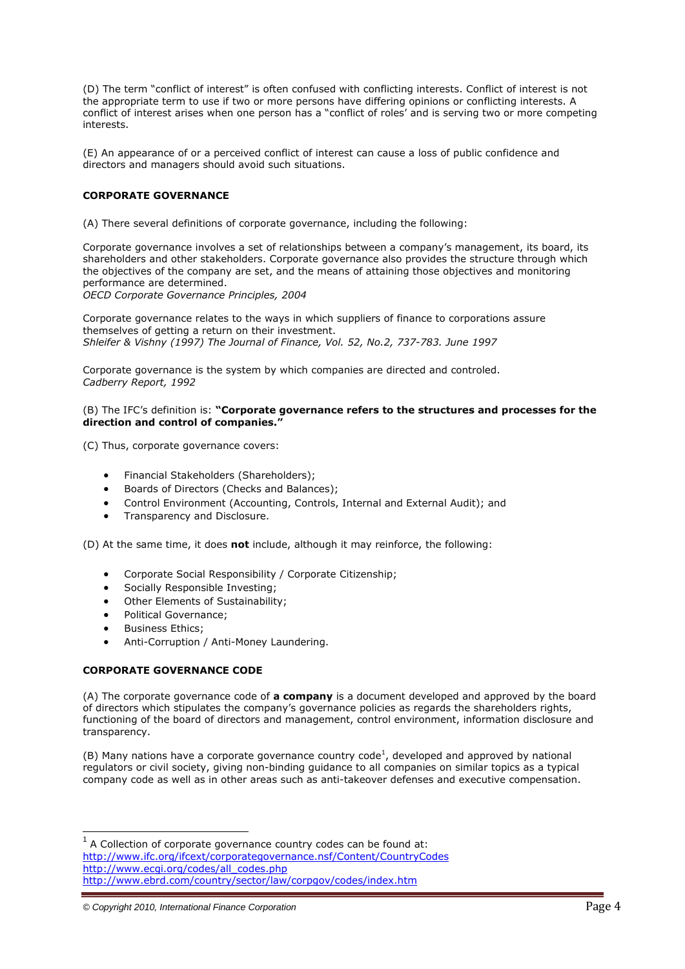(D) The term "conflict of interest" is often confused with conflicting interests. Conflict of interest is not the appropriate term to use if two or more persons have differing opinions or conflicting interests. A conflict of interest arises when one person has a "conflict of roles' and is serving two or more competing interests.

(E) An appearance of or a perceived conflict of interest can cause a loss of public confidence and directors and managers should avoid such situations.

# <span id="page-3-0"></span>**CORPORATE GOVERNANCE**

(A) There several definitions of corporate governance, including the following:

Corporate governance involves a set of relationships between a company's management, its board, its shareholders and other stakeholders. Corporate governance also provides the structure through which the objectives of the company are set, and the means of attaining those objectives and monitoring performance are determined.

*OECD Corporate Governance Principles, 2004*

Corporate governance relates to the ways in which suppliers of finance to corporations assure themselves of getting a return on their investment. *Shleifer & Vishny (1997) The Journal of Finance, Vol. 52, No.2, 737-783. June 1997*

Corporate governance is the system by which companies are directed and controled. *Cadberry Report, 1992*

#### (B) The IFC's definition is: **"Corporate governance refers to the structures and processes for the direction and control of companies."**

(C) Thus, corporate governance covers:

- Financial Stakeholders (Shareholders):
- Boards of Directors (Checks and Balances);
- Control Environment (Accounting, Controls, Internal and External Audit); and
- Transparency and Disclosure.

(D) At the same time, it does **not** include, although it may reinforce, the following:

- Corporate Social Responsibility / Corporate Citizenship;
- Socially Responsible Investing;
- Other Elements of Sustainability;
- Political Governance:
- **•** Business Ethics;
- Anti-Corruption / Anti-Money Laundering.

# <span id="page-3-1"></span>**CORPORATE GOVERNANCE CODE**

(A) The corporate governance code of **a company** is a document developed and approved by the board of directors which stipulates the company's governance policies as regards the shareholders rights, functioning of the board of directors and management, control environment, information disclosure and transparency.

 $(B)$  Many nations have a corporate governance country code<sup>1</sup>, developed and approved by national regulators or civil society, giving non-binding guidance to all companies on similar topics as a typical company code as well as in other areas such as anti-takeover defenses and executive compensation.

The mannimorporate surface country codes can be found at:<br>The Collection of corporate governance country codes can be found at: <http://www.ifc.org/ifcext/corporategovernance.nsf/Content/CountryCodes> [http://www.ecgi.org/codes/all\\_codes.php](http://www.ecgi.org/codes/all_codes.php) <http://www.ebrd.com/country/sector/law/corpgov/codes/index.htm>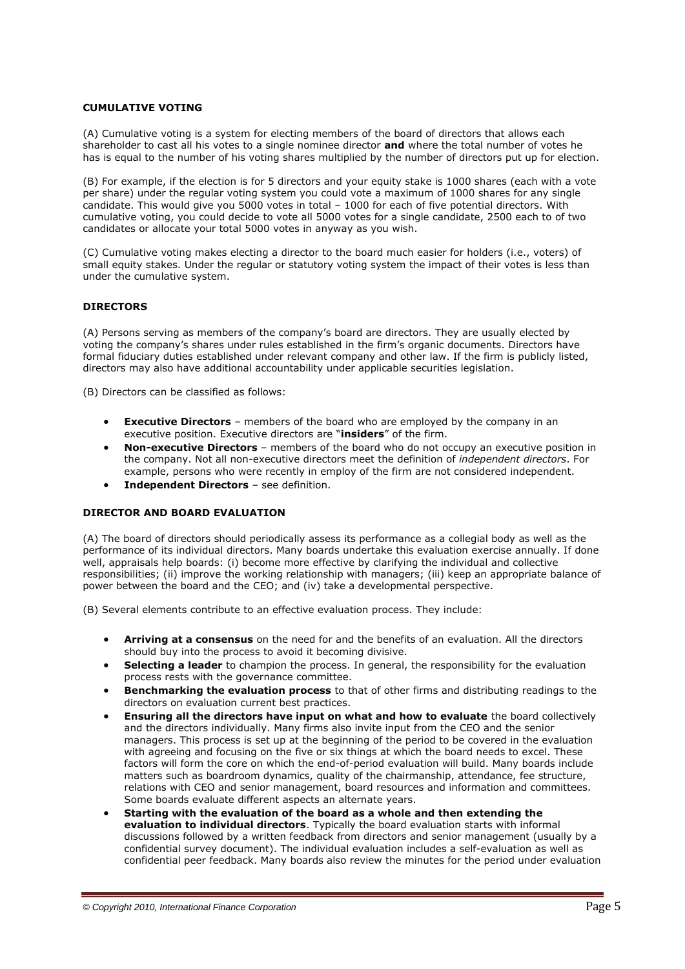# <span id="page-4-0"></span>**CUMULATIVE VOTING**

(A) Cumulative voting is a system for electing members of the board of directors that allows each shareholder to cast all his votes to a single nominee director **and** where the total number of votes he has is equal to the number of his voting shares multiplied by the number of directors put up for election.

(B) For example, if the election is for 5 directors and your equity stake is 1000 shares (each with a vote per share) under the regular voting system you could vote a maximum of 1000 shares for any single candidate. This would give you 5000 votes in total – 1000 for each of five potential directors. With cumulative voting, you could decide to vote all 5000 votes for a single candidate, 2500 each to of two candidates or allocate your total 5000 votes in anyway as you wish.

(C) Cumulative voting makes electing a director to the board much easier for holders (i.e., voters) of small equity stakes. Under the regular or statutory voting system the impact of their votes is less than under the cumulative system.

#### <span id="page-4-1"></span>**DIRECTORS**

(A) Persons serving as members of the company's board are directors. They are usually elected by voting the company's shares under rules established in the firm's organic documents. Directors have formal fiduciary duties established under relevant company and other law. If the firm is publicly listed, directors may also have additional accountability under applicable securities legislation.

(B) Directors can be classified as follows:

- **Executive Directors** members of the board who are employed by the company in an executive position. Executive directors are "**insiders**" of the firm.
- **Non-executive Directors** members of the board who do not occupy an executive position in the company. Not all non-executive directors meet the definition of *independent directors*. For example, persons who were recently in employ of the firm are not considered independent.
- **Independent Directors** see definition.

#### <span id="page-4-2"></span>**DIRECTOR AND BOARD EVALUATION**

(A) The board of directors should periodically assess its performance as a collegial body as well as the performance of its individual directors. Many boards undertake this evaluation exercise annually. If done well, appraisals help boards: (i) become more effective by clarifying the individual and collective responsibilities; (ii) improve the working relationship with managers; (iii) keep an appropriate balance of power between the board and the CEO; and (iv) take a developmental perspective.

(B) Several elements contribute to an effective evaluation process. They include:

- **Arriving at a consensus** on the need for and the benefits of an evaluation. All the directors should buy into the process to avoid it becoming divisive.
- **Selecting a leader** to champion the process. In general, the responsibility for the evaluation process rests with the governance committee.
- **Benchmarking the evaluation process** to that of other firms and distributing readings to the directors on evaluation current best practices.
- **Ensuring all the directors have input on what and how to evaluate** the board collectively and the directors individually. Many firms also invite input from the CEO and the senior managers. This process is set up at the beginning of the period to be covered in the evaluation with agreeing and focusing on the five or six things at which the board needs to excel. These factors will form the core on which the end-of-period evaluation will build. Many boards include matters such as boardroom dynamics, quality of the chairmanship, attendance, fee structure, relations with CEO and senior management, board resources and information and committees. Some boards evaluate different aspects an alternate years.
- **Starting with the evaluation of the board as a whole and then extending the evaluation to individual directors**. Typically the board evaluation starts with informal discussions followed by a written feedback from directors and senior management (usually by a confidential survey document). The individual evaluation includes a self-evaluation as well as confidential peer feedback. Many boards also review the minutes for the period under evaluation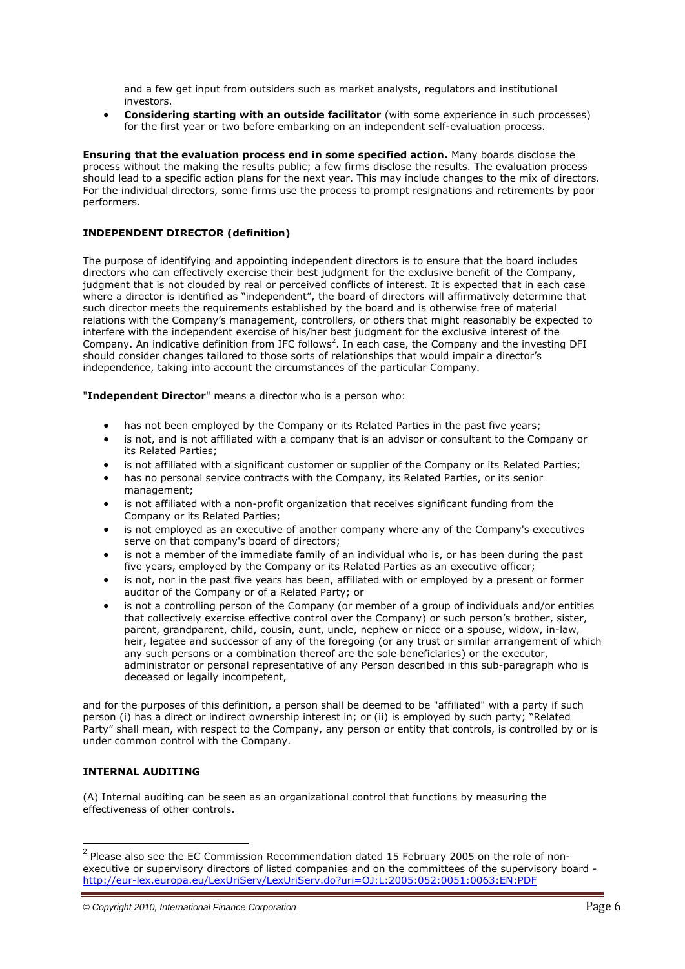and a few get input from outsiders such as market analysts, regulators and institutional investors.

 **Considering starting with an outside facilitator** (with some experience in such processes) for the first year or two before embarking on an independent self-evaluation process.

**Ensuring that the evaluation process end in some specified action.** Many boards disclose the process without the making the results public; a few firms disclose the results. The evaluation process should lead to a specific action plans for the next year. This may include changes to the mix of directors. For the individual directors, some firms use the process to prompt resignations and retirements by poor performers.

#### <span id="page-5-0"></span>**INDEPENDENT DIRECTOR (definition)**

The purpose of identifying and appointing independent directors is to ensure that the board includes directors who can effectively exercise their best judgment for the exclusive benefit of the Company, judgment that is not clouded by real or perceived conflicts of interest. It is expected that in each case where a director is identified as "independent", the board of directors will affirmatively determine that such director meets the requirements established by the board and is otherwise free of material relations with the Company's management, controllers, or others that might reasonably be expected to interfere with the independent exercise of his/her best judgment for the exclusive interest of the Company. An indicative definition from IFC follows<sup>2</sup>. In each case, the Company and the investing DFI should consider changes tailored to those sorts of relationships that would impair a director's independence, taking into account the circumstances of the particular Company.

"**Independent Director**" means a director who is a person who:

- has not been employed by the Company or its Related Parties in the past five years;
- is not, and is not affiliated with a company that is an advisor or consultant to the Company or its Related Parties;
- is not affiliated with a significant customer or supplier of the Company or its Related Parties;
- has no personal service contracts with the Company, its Related Parties, or its senior management;
- is not affiliated with a non-profit organization that receives significant funding from the Company or its Related Parties;
- is not employed as an executive of another company where any of the Company's executives serve on that company's board of directors;
- is not a member of the immediate family of an individual who is, or has been during the past five years, employed by the Company or its Related Parties as an executive officer;
- is not, nor in the past five years has been, affiliated with or employed by a present or former auditor of the Company or of a Related Party; or
- is not a controlling person of the Company (or member of a group of individuals and/or entities that collectively exercise effective control over the Company) or such person's brother, sister, parent, grandparent, child, cousin, aunt, uncle, nephew or niece or a spouse, widow, in-law, heir, legatee and successor of any of the foregoing (or any trust or similar arrangement of which any such persons or a combination thereof are the sole beneficiaries) or the executor, administrator or personal representative of any Person described in this sub-paragraph who is deceased or legally incompetent,

and for the purposes of this definition, a person shall be deemed to be "affiliated" with a party if such person (i) has a direct or indirect ownership interest in; or (ii) is employed by such party; "Related Party" shall mean, with respect to the Company, any person or entity that controls, is controlled by or is under common control with the Company.

#### <span id="page-5-1"></span>**INTERNAL AUDITING**

(A) Internal auditing can be seen as an organizational control that functions by measuring the effectiveness of other controls.

 2 Please also see the EC Commission Recommendation dated 15 February 2005 on the role of nonexecutive or supervisory directors of listed companies and on the committees of the supervisory board <http://eur-lex.europa.eu/LexUriServ/LexUriServ.do?uri=OJ:L:2005:052:0051:0063:EN:PDF>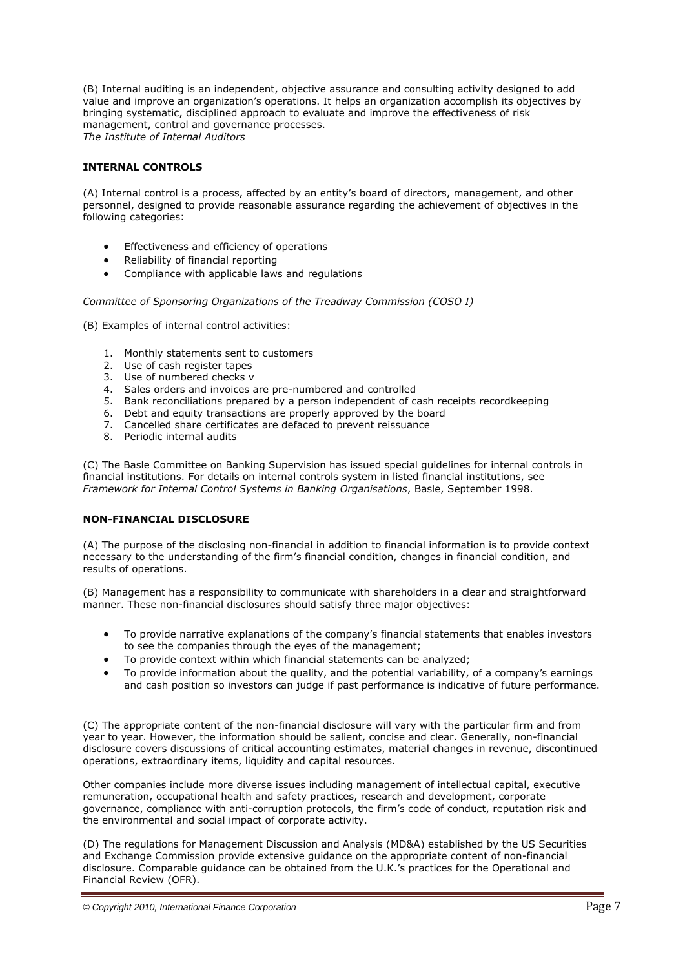(B) Internal auditing is an independent, objective assurance and consulting activity designed to add value and improve an organization's operations. It helps an organization accomplish its objectives by bringing systematic, disciplined approach to evaluate and improve the effectiveness of risk management, control and governance processes. *The Institute of Internal Auditors*

# <span id="page-6-0"></span>**INTERNAL CONTROLS**

(A) Internal control is a process, affected by an entity's board of directors, management, and other personnel, designed to provide reasonable assurance regarding the achievement of objectives in the following categories:

- Effectiveness and efficiency of operations
- Reliability of financial reporting
- Compliance with applicable laws and regulations

*Committee of Sponsoring Organizations of the Treadway Commission (COSO I)*

(B) Examples of internal control activities:

- 1. Monthly statements sent to customers
- 2. Use of cash register tapes
- 3. Use of numbered checks v
- 4. Sales orders and invoices are pre-numbered and controlled
- 5. Bank reconciliations prepared by a person independent of cash receipts recordkeeping
- 6. Debt and equity transactions are properly approved by the board
- 7. Cancelled share certificates are defaced to prevent reissuance
- 8. Periodic internal audits

(C) The Basle Committee on Banking Supervision has issued special guidelines for internal controls in financial institutions. For details on internal controls system in listed financial institutions, see *Framework for Internal Control Systems in Banking Organisations*, Basle, September 1998.

# <span id="page-6-1"></span>**NON-FINANCIAL DISCLOSURE**

(A) The purpose of the disclosing non-financial in addition to financial information is to provide context necessary to the understanding of the firm's financial condition, changes in financial condition, and results of operations.

(B) Management has a responsibility to communicate with shareholders in a clear and straightforward manner. These non-financial disclosures should satisfy three major objectives:

- To provide narrative explanations of the company's financial statements that enables investors to see the companies through the eyes of the management;
- To provide context within which financial statements can be analyzed;
- To provide information about the quality, and the potential variability, of a company's earnings and cash position so investors can judge if past performance is indicative of future performance.

(C) The appropriate content of the non-financial disclosure will vary with the particular firm and from year to year. However, the information should be salient, concise and clear. Generally, non-financial disclosure covers discussions of critical accounting estimates, material changes in revenue, discontinued operations, extraordinary items, liquidity and capital resources.

Other companies include more diverse issues including management of intellectual capital, executive remuneration, occupational health and safety practices, research and development, corporate governance, compliance with anti-corruption protocols, the firm's code of conduct, reputation risk and the environmental and social impact of corporate activity.

(D) The regulations for Management Discussion and Analysis (MD&A) established by the US Securities and Exchange Commission provide extensive guidance on the appropriate content of non-financial disclosure. Comparable guidance can be obtained from the U.K.'s practices for the Operational and Financial Review (OFR).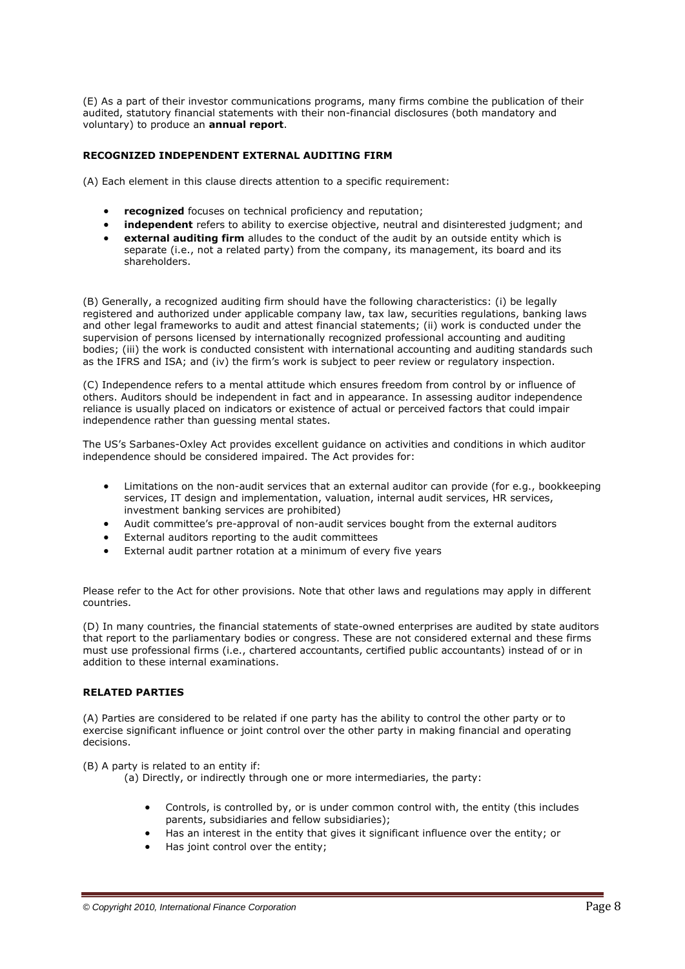(E) As a part of their investor communications programs, many firms combine the publication of their audited, statutory financial statements with their non-financial disclosures (both mandatory and voluntary) to produce an **annual report**.

# <span id="page-7-0"></span>**RECOGNIZED INDEPENDENT EXTERNAL AUDITING FIRM**

(A) Each element in this clause directs attention to a specific requirement:

- **recognized** focuses on technical proficiency and reputation;
- **independent** refers to ability to exercise objective, neutral and disinterested judgment; and
- **external auditing firm** alludes to the conduct of the audit by an outside entity which is separate (i.e., not a related party) from the company, its management, its board and its shareholders.

(B) Generally, a recognized auditing firm should have the following characteristics: (i) be legally registered and authorized under applicable company law, tax law, securities regulations, banking laws and other legal frameworks to audit and attest financial statements; (ii) work is conducted under the supervision of persons licensed by internationally recognized professional accounting and auditing bodies; (iii) the work is conducted consistent with international accounting and auditing standards such as the IFRS and ISA; and (iv) the firm's work is subject to peer review or requlatory inspection.

(C) Independence refers to a mental attitude which ensures freedom from control by or influence of others. Auditors should be independent in fact and in appearance. In assessing auditor independence reliance is usually placed on indicators or existence of actual or perceived factors that could impair independence rather than guessing mental states.

The US's Sarbanes-Oxley Act provides excellent guidance on activities and conditions in which auditor independence should be considered impaired. The Act provides for:

- Limitations on the non-audit services that an external auditor can provide (for e.g., bookkeeping services, IT design and implementation, valuation, internal audit services, HR services, investment banking services are prohibited)
- Audit committee's pre-approval of non-audit services bought from the external auditors
- External auditors reporting to the audit committees
- External audit partner rotation at a minimum of every five years

Please refer to the Act for other provisions. Note that other laws and regulations may apply in different countries.

(D) In many countries, the financial statements of state-owned enterprises are audited by state auditors that report to the parliamentary bodies or congress. These are not considered external and these firms must use professional firms (i.e., chartered accountants, certified public accountants) instead of or in addition to these internal examinations.

#### <span id="page-7-1"></span>**RELATED PARTIES**

(A) Parties are considered to be related if one party has the ability to control the other party or to exercise significant influence or joint control over the other party in making financial and operating decisions.

(B) A party is related to an entity if:

(a) Directly, or indirectly through one or more intermediaries, the party:

- Controls, is controlled by, or is under common control with, the entity (this includes parents, subsidiaries and fellow subsidiaries);
- Has an interest in the entity that gives it significant influence over the entity; or
- Has joint control over the entity;